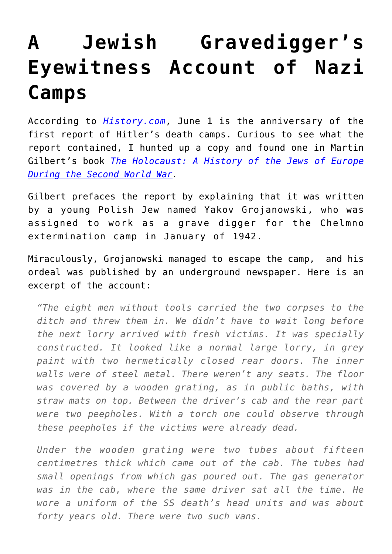## **[A Jewish Gravedigger's](https://intellectualtakeout.org/2016/05/a-jewish-gravediggers-eyewitness-account-of-nazi-camps/) [Eyewitness Account of Nazi](https://intellectualtakeout.org/2016/05/a-jewish-gravediggers-eyewitness-account-of-nazi-camps/) [Camps](https://intellectualtakeout.org/2016/05/a-jewish-gravediggers-eyewitness-account-of-nazi-camps/)**

According to *[History.com](http://www.history.com/this-day-in-history/news-of-death-camp-killings-becomes-public-for-first-time)*, June 1 is the anniversary of the first report of Hitler's death camps. Curious to see what the report contained, I hunted up a copy and found one in Martin Gilbert's book *[The Holocaust: A History of the Jews of Europe](http://www.amazon.com/gp/product/0805003487/ref=as_li_qf_sp_asin_il_tl?ie=UTF8&camp=1789&creative=9325&creativeASIN=0805003487&linkCode=as2&tag=intelltakeo0d-20&linkId=N4H3PGHL4457YD2R) [During the Second World War.](http://www.amazon.com/gp/product/0805003487/ref=as_li_qf_sp_asin_il_tl?ie=UTF8&camp=1789&creative=9325&creativeASIN=0805003487&linkCode=as2&tag=intelltakeo0d-20&linkId=N4H3PGHL4457YD2R)*

Gilbert prefaces the report by explaining that it was written by a young Polish Jew named Yakov Grojanowski, who was assigned to work as a grave digger for the Chelmno extermination camp in January of 1942.

Miraculously, Grojanowski managed to escape the camp, and his ordeal was published by an underground newspaper. Here is an excerpt of the account:

*"The eight men without tools carried the two corpses to the ditch and threw them in. We didn't have to wait long before the next lorry arrived with fresh victims. It was specially constructed. It looked like a normal large lorry, in grey paint with two hermetically closed rear doors. The inner walls were of steel metal. There weren't any seats. The floor was covered by a wooden grating, as in public baths, with straw mats on top. Between the driver's cab and the rear part were two peepholes. With a torch one could observe through these peepholes if the victims were already dead.*

*Under the wooden grating were two tubes about fifteen centimetres thick which came out of the cab. The tubes had small openings from which gas poured out. The gas generator was in the cab, where the same driver sat all the time. He wore a uniform of the SS death's head units and was about forty years old. There were two such vans.*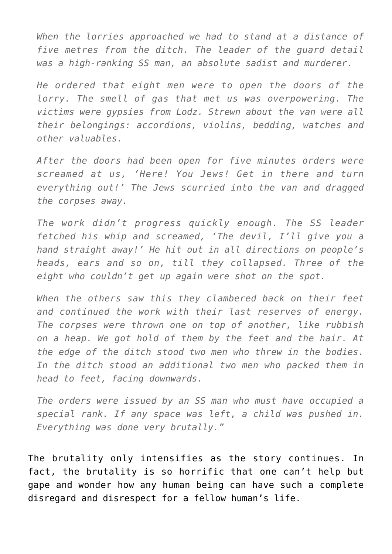*When the lorries approached we had to stand at a distance of five metres from the ditch. The leader of the guard detail was a high-ranking SS man, an absolute sadist and murderer.*

*He ordered that eight men were to open the doors of the lorry. The smell of gas that met us was overpowering. The victims were gypsies from Lodz. Strewn about the van were all their belongings: accordions, violins, bedding, watches and other valuables.*

*After the doors had been open for five minutes orders were screamed at us, 'Here! You Jews! Get in there and turn everything out!' The Jews scurried into the van and dragged the corpses away.*

*The work didn't progress quickly enough. The SS leader fetched his whip and screamed, 'The devil, I'll give you a hand straight away!' He hit out in all directions on people's heads, ears and so on, till they collapsed. Three of the eight who couldn't get up again were shot on the spot.*

*When the others saw this they clambered back on their feet and continued the work with their last reserves of energy. The corpses were thrown one on top of another, like rubbish on a heap. We got hold of them by the feet and the hair. At the edge of the ditch stood two men who threw in the bodies. In the ditch stood an additional two men who packed them in head to feet, facing downwards.*

*The orders were issued by an SS man who must have occupied a special rank. If any space was left, a child was pushed in. Everything was done very brutally."*

The brutality only intensifies as the story continues. In fact, the brutality is so horrific that one can't help but gape and wonder how any human being can have such a complete disregard and disrespect for a fellow human's life.